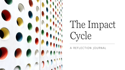

# The Impact Cycle

A REFLECTION JOURNAL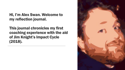#### Hi, I'm Alex Swan. Welcome to my reflection journal.

This journal chronicles my first coaching experience with the aid of Jim Knight's Impact Cycle (2018).

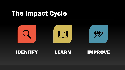## The Impact Cycle



#### IDENTIFY LEARN IMPROVE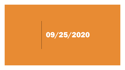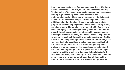I am a bit anxious about my first coaching experience. Ms. Penny has been teaching for a while, so I intend on listening carefully. The beginning of the school year has been crazy, and tensions are running high! I certainly will need to be flexible and understanding during this school year no matter who I choose to coach. Our students have not yet returned in person, so this additional planning time has given me a good opportunity to prepare for my coaching experience. I have been working mostly from home so far this year, but I have met with Ms. Penny a few times during my visits to campus to stay connected and inquire about things she may need or be interested in as my coachee. She responds well to coaching and advice, which is why I wanted to use her as a subject. I recently wrapped up my Current Reality narrative and I keep coming back to realization that although this year has its challenges, there are also clear opportunities that are presenting themselves. CTLS, our learning management system, is a major change for this school year, so training and best practices regarding CTLS are important to consider. I plan on printing out the pre-observation checklist and starting with that when Ms. Penny and I meet again. This should help kickstart some ideas, and we can go from there. Overall, I am looking forward to the challenge, but I am anxious to just get started.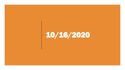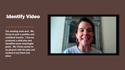### Identify Video

The meeting went well. Ms. Penny is such a positive and confident teacher. I feel we produced a solid plan and identified some meaningful goals. Ms. Penny seems to be pleased with the plan and excited to put them into place.

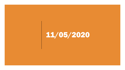## 11/05/2020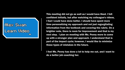

This meeting did not go as well as I would have liked. I felt confident initially, but after watching my colleague's videos, I feel I could have done better. I should have spent more time personalizing my approach and not just regurgitating information from the textbook and covering the rubric. On a brighter note, there is room for improvement and that is my next step. I plan on meeting with Ms. Penny more to come up with a stronger plan and approach. I understand that is part of the impact cycle; however, I would like to minimize these types of mistakes in the future.

I feel Ms. Penny has done a lot to help me out, and I want to do a better job coaching her.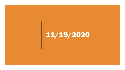## 11/19/2020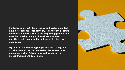For today's meeting, I have read up on Chapter 5 and feel I have a stronger approach for today. I have printed out two checklists to take with me: effective guiding question and effective thinking prompts. I also have a series of questions that I produced that will get us to where we need to be.

My hope is that we can dig deeper into the strategy and activity given for the checklist(s) Ms. Penny feels more comfortable with. This can also lead us into our next meeting with an end goal in mind.